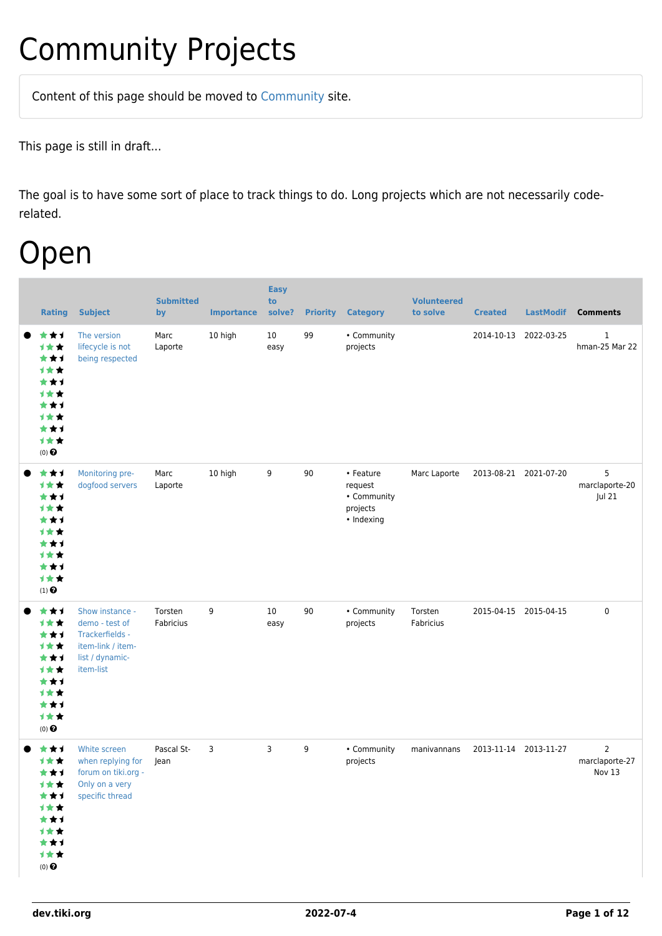## Community Projects

Content of this page should be [moved](https://dev.tiki.org/tiki-editpage.php?page=moved) to [Community](http://tiki.org/Community) site.

This page is still in draft...

The goal is to have some sort of place to track things to do. Long projects which are not necessarily coderelated.

### Open

| <b>Rating</b>                                                                                               | <b>Subject</b>                                                                                            | <b>Submitted</b><br>by | <b>Importance</b> | <b>Easy</b><br>to<br>solve? | <b>Priority</b> | <b>Category</b>                                               | <b>Volunteered</b><br>to solve | <b>Created</b>        | <b>LastModif</b> | <b>Comments</b>                            |
|-------------------------------------------------------------------------------------------------------------|-----------------------------------------------------------------------------------------------------------|------------------------|-------------------|-----------------------------|-----------------|---------------------------------------------------------------|--------------------------------|-----------------------|------------------|--------------------------------------------|
| ***<br>计女女<br>★★1<br><b>1**</b><br>***<br>才女女<br>***<br>才女女<br>***<br>计女女<br>$(0)$ $\bigodot$               | The version<br>lifecycle is not<br>being respected                                                        | Marc<br>Laporte        | 10 high           | 10<br>easy                  | 99              | • Community<br>projects                                       |                                | 2014-10-13            | 2022-03-25       | $\mathbf{1}$<br>hman-25 Mar 22             |
| ***<br>计女女<br>***<br><b>1**</b><br>***<br><b>1**</b><br>***<br>计女女<br>***<br>计女女<br>$(1)$<br>$\pmb{\Theta}$ | Monitoring pre-<br>dogfood servers                                                                        | Marc<br>Laporte        | 10 high           | 9                           | 90              | • Feature<br>request<br>• Community<br>projects<br>• Indexing | Marc Laporte                   | 2013-08-21 2021-07-20 |                  | 5<br>marclaporte-20<br>Jul 21              |
| ★★1<br>计女女<br>***<br>才女女<br>***<br><b>1**</b><br>***<br>才女女<br>***<br>计女女<br>$(0)$ $\Theta$                 | Show instance -<br>demo - test of<br>Trackerfields -<br>item-link / item-<br>list / dynamic-<br>item-list | Torsten<br>Fabricius   | 9                 | 10<br>easy                  | 90              | • Community<br>projects                                       | Torsten<br>Fabricius           | 2015-04-15 2015-04-15 |                  | 0                                          |
| ***<br>1**<br>***<br>计女女<br>***<br>计女女<br>***<br>计女女<br>***<br>计女女<br>$(0)$ $\odot$                         | White screen<br>when replying for<br>forum on tiki.org -<br>Only on a very<br>specific thread             | Pascal St-<br>Jean     | 3                 | 3                           | 9               | • Community<br>projects                                       | manivannans                    | 2013-11-14 2013-11-27 |                  | $\overline{2}$<br>marclaporte-27<br>Nov 13 |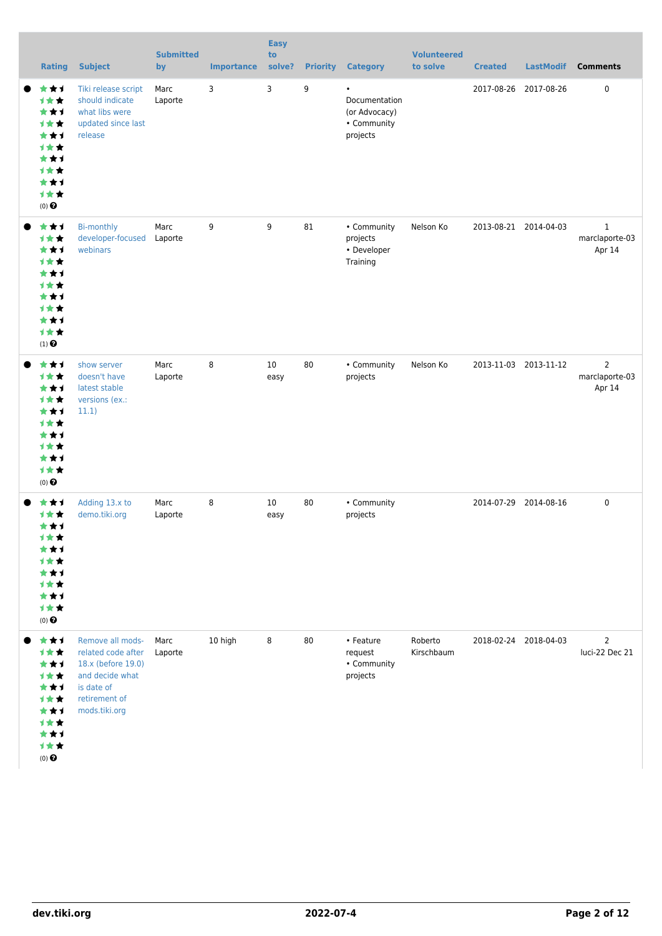| <b>Rating</b>                                                                                                   | <b>Subject</b>                                                                                                                  | <b>Submitted</b><br>by | <b>Importance</b> | <b>Easy</b><br>to<br>solve? |    | <b>Priority Category</b>                                               | <b>Volunteered</b><br>to solve | <b>Created</b>        | <b>LastModif</b>      | <b>Comments</b>                            |
|-----------------------------------------------------------------------------------------------------------------|---------------------------------------------------------------------------------------------------------------------------------|------------------------|-------------------|-----------------------------|----|------------------------------------------------------------------------|--------------------------------|-----------------------|-----------------------|--------------------------------------------|
| ***<br>***<br>***<br><b>1**</b><br>***<br><b>1**</b><br>***<br><b>1**</b><br>***<br>才女女<br>$(0)$ $\Theta$       | Tiki release script<br>should indicate<br>what libs were<br>updated since last<br>release                                       | Marc<br>Laporte        | 3                 | 3                           | 9  | $\bullet$<br>Documentation<br>(or Advocacy)<br>• Community<br>projects |                                |                       | 2017-08-26 2017-08-26 | 0                                          |
| ***<br>1★★<br>***<br><b>1**</b><br>***<br><b>1**</b><br>***<br><b>1**</b><br>***<br>才女女<br>$(1)$ $\odot$        | <b>Bi-monthly</b><br>developer-focused<br>webinars                                                                              | Marc<br>Laporte        | 9                 | 9                           | 81 | • Community<br>projects<br>• Developer<br>Training                     | Nelson Ko                      | 2013-08-21 2014-04-03 |                       | $\mathbf{1}$<br>marclaporte-03<br>Apr 14   |
| ***<br><b>1**</b><br>***<br><b>1**</b><br>***<br><b>1**</b><br>***<br><b>1**</b><br>***<br>才女女<br>$(0)$ $\odot$ | show server<br>doesn't have<br>latest stable<br>versions (ex.:<br>11.1)                                                         | Marc<br>Laporte        | 8                 | 10<br>easy                  | 80 | • Community<br>projects                                                | Nelson Ko                      | 2013-11-03 2013-11-12 |                       | $\overline{2}$<br>marclaporte-03<br>Apr 14 |
| ***<br>1★★<br>***<br><b>1★★</b><br>**1<br><b>1**</b><br>***<br><b>1**</b><br>***<br>才女女<br>$(0)$ $\Theta$       | Adding 13.x to<br>demo.tiki.org                                                                                                 | Marc<br>Laporte        | 8                 | 10<br>easy                  | 80 | • Community<br>projects                                                |                                | 2014-07-29 2014-08-16 |                       | 0                                          |
| ***<br>1★★<br>***<br><b>1**</b><br>***<br><b>1**</b><br>***<br><b>1**</b><br>***<br>计女女<br>$(0)$ $\bigodot$     | Remove all mods-<br>related code after<br>18.x (before 19.0)<br>and decide what<br>is date of<br>retirement of<br>mods.tiki.org | Marc<br>Laporte        | 10 high           | 8                           | 80 | • Feature<br>request<br>• Community<br>projects                        | Roberto<br>Kirschbaum          |                       | 2018-02-24 2018-04-03 | $\overline{2}$<br>luci-22 Dec 21           |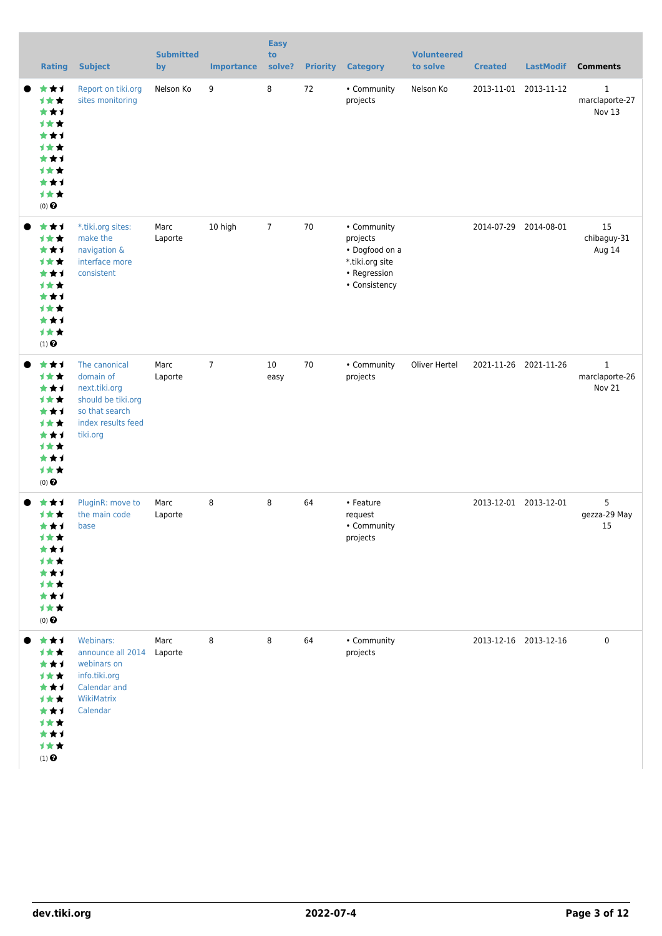| <b>Rating</b>                                                                                               | <b>Subject</b>                                                                                                        | <b>Submitted</b><br>by | <b>Importance</b> | <b>Easy</b><br>to<br>solve? |    | <b>Priority Category</b>                                                                      | <b>Volunteered</b><br>to solve | <b>Created</b>        | <b>LastModif</b>      | <b>Comments</b>                          |
|-------------------------------------------------------------------------------------------------------------|-----------------------------------------------------------------------------------------------------------------------|------------------------|-------------------|-----------------------------|----|-----------------------------------------------------------------------------------------------|--------------------------------|-----------------------|-----------------------|------------------------------------------|
| ***<br>1★★<br>***<br><b>1**</b><br>***<br><b>1**</b><br>***<br><b>1**</b><br>***<br>1★★<br>$(0)$ $\bigodot$ | Report on tiki.org<br>sites monitoring                                                                                | Nelson Ko              | 9                 | 8                           | 72 | • Community<br>projects                                                                       | Nelson Ko                      |                       | 2013-11-01 2013-11-12 | $\mathbf{1}$<br>marclaporte-27<br>Nov 13 |
| ***<br>***<br>***<br><b>1**</b><br>***<br>***<br>***<br><b>1**</b><br>***<br>1★★<br>$(1)$ $\odot$           | *.tiki.org sites:<br>make the<br>navigation &<br>interface more<br>consistent                                         | Marc<br>Laporte        | 10 high           | $\overline{7}$              | 70 | • Community<br>projects<br>• Dogfood on a<br>*.tiki.org site<br>• Regression<br>• Consistency |                                | 2014-07-29 2014-08-01 |                       | 15<br>chibaguy-31<br>Aug 14              |
| ***<br>1★★<br>***<br>1★★<br>***<br>计女女<br>***<br>计女女<br>***<br>计女女<br>$(0)$ $\odot$                         | The canonical<br>domain of<br>next.tiki.org<br>should be tiki.org<br>so that search<br>index results feed<br>tiki.org | Marc<br>Laporte        | $\overline{7}$    | 10<br>easy                  | 70 | • Community<br>projects                                                                       | Oliver Hertel                  |                       | 2021-11-26 2021-11-26 | $\mathbf{1}$<br>marclaporte-26<br>Nov 21 |
| ***<br>计女女<br>***<br>计女女<br>***<br>计女女<br>***<br>计女女<br>***<br>计女女<br>$(0)$ $\bigodot$                      | PluginR: move to<br>the main code<br>base                                                                             | Marc<br>Laporte        | 8                 | 8                           | 64 | • Feature<br>request<br>• Community<br>projects                                               |                                | 2013-12-01 2013-12-01 |                       | 5<br>gezza-29 May<br>15                  |
| ***<br>1★★<br>***<br>1★★<br>***<br>1★★<br>***<br>1★★<br>***<br>计女女<br>$(1)$<br>$\pmb{\Theta}$               | Webinars:<br>announce all 2014<br>webinars on<br>info.tiki.org<br>Calendar and<br>WikiMatrix<br>Calendar              | Marc<br>Laporte        | 8                 | 8                           | 64 | • Community<br>projects                                                                       |                                | 2013-12-16 2013-12-16 |                       | $\pmb{0}$                                |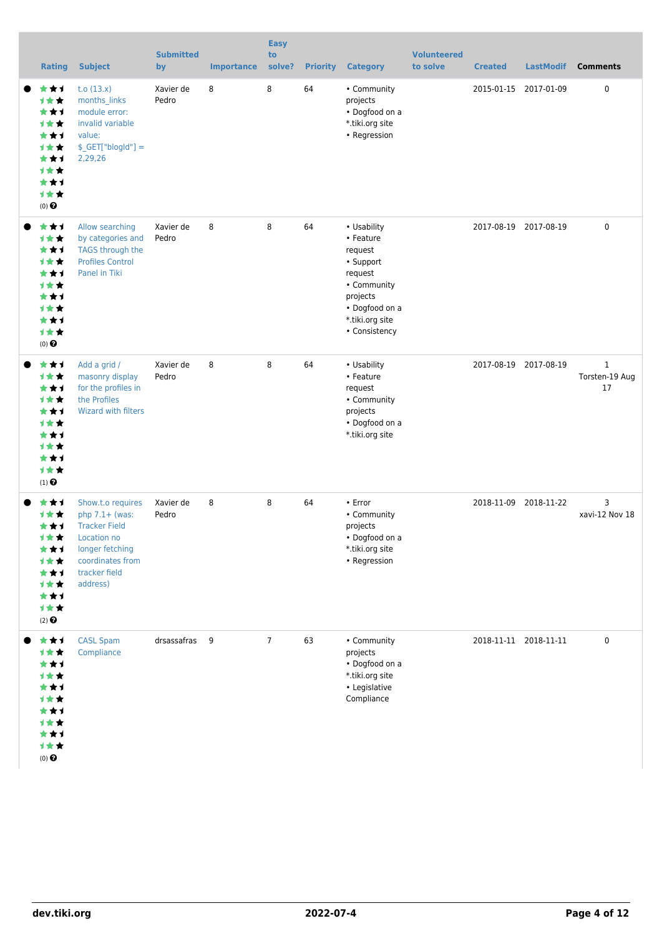| <b>Rating</b>                                                                                                      | <b>Subject</b>                                                                                                                                   | <b>Submitted</b><br>by | <b>Importance</b> | <b>Easy</b><br>to<br>solve? | <b>Priority</b> | <b>Category</b>                                                                                                                              | <b>Volunteered</b><br>to solve | <b>Created</b> | <b>LastModif</b>      | <b>Comments</b>                      |
|--------------------------------------------------------------------------------------------------------------------|--------------------------------------------------------------------------------------------------------------------------------------------------|------------------------|-------------------|-----------------------------|-----------------|----------------------------------------------------------------------------------------------------------------------------------------------|--------------------------------|----------------|-----------------------|--------------------------------------|
| ***<br><b>1**</b><br>***<br><b>1**</b><br>***<br><b>1**</b><br>***<br><b>1**</b><br>***<br>1★★<br>$(0)$ $\bigodot$ | t.o $(13.x)$<br>months links<br>module error:<br>invalid variable<br>value:<br>$$$ <sub>_GET</sub> ["blogId"] =<br>2,29,26                       | Xavier de<br>Pedro     | 8                 | 8                           | 64              | • Community<br>projects<br>• Dogfood on a<br>*.tiki.org site<br>• Regression                                                                 |                                |                | 2015-01-15 2017-01-09 | 0                                    |
| ***<br>1★★<br>***<br><b>1**</b><br>***<br><b>1**</b><br>***<br><b>1**</b><br>***<br>1★★<br>$(0)$ $\odot$           | Allow searching<br>by categories and<br><b>TAGS through the</b><br><b>Profiles Control</b><br>Panel in Tiki                                      | Xavier de<br>Pedro     | 8                 | 8                           | 64              | • Usability<br>• Feature<br>request<br>• Support<br>request<br>• Community<br>projects<br>• Dogfood on a<br>*.tiki.org site<br>• Consistency |                                |                | 2017-08-19 2017-08-19 | $\mathbf 0$                          |
| ***<br>1★★<br>***<br>1★★<br>***<br>1★★<br>***<br>1★★<br>***<br>1★★<br>$(1)$ <sup><math>\odot</math></sup>          | Add a grid /<br>masonry display<br>for the profiles in<br>the Profiles<br><b>Wizard with filters</b>                                             | Xavier de<br>Pedro     | 8                 | 8                           | 64              | • Usability<br>• Feature<br>request<br>• Community<br>projects<br>• Dogfood on a<br>*.tiki.org site                                          |                                |                | 2017-08-19 2017-08-19 | $\mathbf{1}$<br>Torsten-19 Aug<br>17 |
| ***<br><b>1**</b><br>***<br>1★★<br>***<br>1★★<br>***<br>1★★<br>***<br>1★★<br>$(2)$ $\odot$                         | Show.t.o requires<br>php $7.1+$ (was:<br><b>Tracker Field</b><br>Location no<br>longer fetching<br>coordinates from<br>tracker field<br>address) | Xavier de<br>Pedro     | 8                 | 8                           | 64              | $\cdot$ Error<br>• Community<br>projects<br>• Dogfood on a<br>*.tiki.org site<br>• Regression                                                |                                |                | 2018-11-09 2018-11-22 | 3<br>xavi-12 Nov 18                  |
| ***<br>1★★<br>***<br><b>1**</b><br>***<br><b>1**</b><br>***<br><b>1**</b><br>***<br>1★★<br>$(0)$ $\bigodot$        | <b>CASL Spam</b><br>Compliance                                                                                                                   | drsassafras 9          |                   | $\overline{7}$              | 63              | • Community<br>projects<br>• Dogfood on a<br>*.tiki.org site<br>• Legislative<br>Compliance                                                  |                                |                | 2018-11-11 2018-11-11 | 0                                    |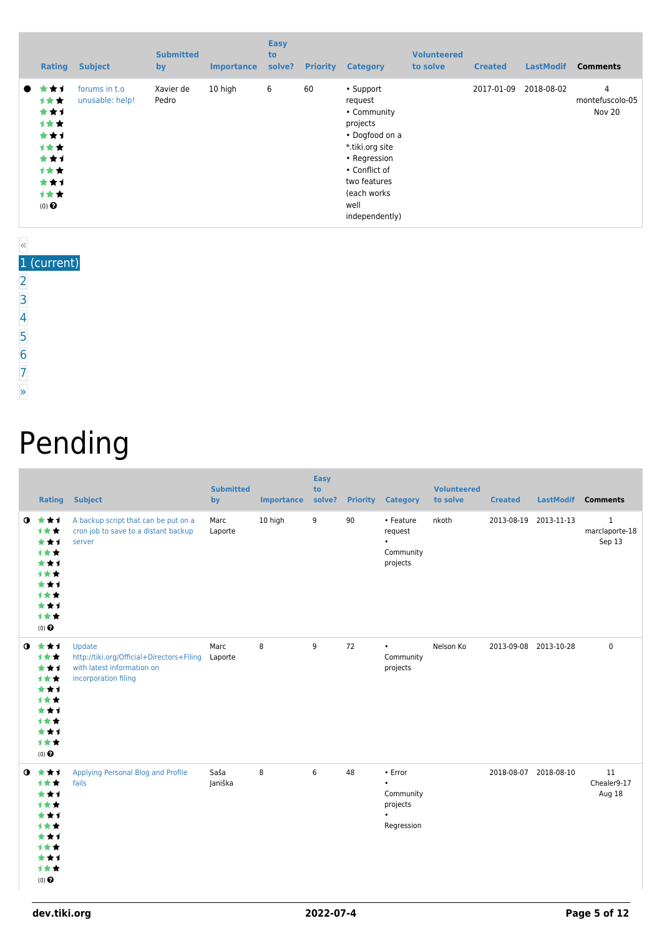| <b>Rating</b>                                                                                    | <b>Subject</b>                   | <b>Submitted</b><br>by | <b>Importance</b> | <b>Easy</b><br>to<br>solve? | <b>Priority</b> | <b>Category</b>                                                                                                                                                                 | <b>Volunteered</b><br>to solve | <b>Created</b> | <b>LastModif</b> | <b>Comments</b>                |
|--------------------------------------------------------------------------------------------------|----------------------------------|------------------------|-------------------|-----------------------------|-----------------|---------------------------------------------------------------------------------------------------------------------------------------------------------------------------------|--------------------------------|----------------|------------------|--------------------------------|
| ┢╈┪<br>$\bullet$<br>计女女<br>***<br>计女女<br>***<br>计女女<br>***<br>计女女<br>***<br>计女女<br>$(0)$ $\odot$ | forums in t.o<br>unusable: help! | Xavier de<br>Pedro     | 10 high           | 6                           | 60              | • Support<br>request<br>• Community<br>projects<br>• Dogfood on a<br>*.tiki.org site<br>• Regression<br>• Conflict of<br>two features<br>(each works)<br>well<br>independently) |                                | 2017-01-09     | 2018-08-02       | 4<br>montefuscolo-05<br>Nov 20 |

#### « 1 (current)

- [2](https://dev.tiki.org/tiki-print.php?page=Community+Projects&tr_offset1=20)
- [3](https://dev.tiki.org/tiki-print.php?page=Community+Projects&tr_offset1=40)
- [4](https://dev.tiki.org/tiki-print.php?page=Community+Projects&tr_offset1=60)
- [5](https://dev.tiki.org/tiki-print.php?page=Community+Projects&tr_offset1=80)
- 
- [6](https://dev.tiki.org/tiki-print.php?page=Community+Projects&tr_offset1=100)
- [7](https://dev.tiki.org/tiki-print.php?page=Community+Projects&tr_offset1=120)
- [»](https://dev.tiki.org/tiki-print.php?page=Community+Projects&tr_offset1=20)

# Pending

|           | <b>Rating</b>                                                                              | <b>Subject</b>                                                                                            | <b>Submitted</b><br>by | <b>Importance</b> | <b>Easy</b><br>to<br>solve? |    | <b>Priority Category</b>                                                 | <b>Volunteered</b><br>to solve | <b>Created</b> | LastModif Comments    |                                          |
|-----------|--------------------------------------------------------------------------------------------|-----------------------------------------------------------------------------------------------------------|------------------------|-------------------|-----------------------------|----|--------------------------------------------------------------------------|--------------------------------|----------------|-----------------------|------------------------------------------|
| $\bullet$ | ***<br>1★★<br>***<br>***<br>***<br>***<br>***<br>***<br>***<br>1★★<br>$(0)$ $\odot$        | A backup script that can be put on a<br>cron job to save to a distant backup<br>server                    | Marc<br>Laporte        | 10 high           | 9                           | 90 | • Feature<br>request<br>$\bullet$<br>Community<br>projects               | nkoth                          | 2013-08-19     | 2013-11-13            | $\mathbf{1}$<br>marclaporte-18<br>Sep 13 |
| $\bullet$ | ***<br>计女女<br>***<br>计女女<br>***<br>1★★<br>***<br>1★★<br>***<br>→★★<br>$(0)$ $\odot$        | Update<br>http://tiki.org/Official+Directors+Filing<br>with latest information on<br>incorporation filing | Marc<br>Laporte        | 8                 | 9                           | 72 | $\bullet$<br>Community<br>projects                                       | Nelson Ko                      |                | 2013-09-08 2013-10-28 | $\mathbf 0$                              |
| $\bullet$ | ***<br>***<br>***<br>1★★<br>***<br>1★★<br>***<br>1★★<br>***<br><b>1**</b><br>$(0)$ $\odot$ | Applying Personal Blog and Profile<br>fails                                                               | Saša<br>Janiška        | 8                 | 6                           | 48 | • Error<br>$\bullet$<br>Community<br>projects<br>$\bullet$<br>Regression |                                |                | 2018-08-07 2018-08-10 | 11<br>Chealer9-17<br>Aug 18              |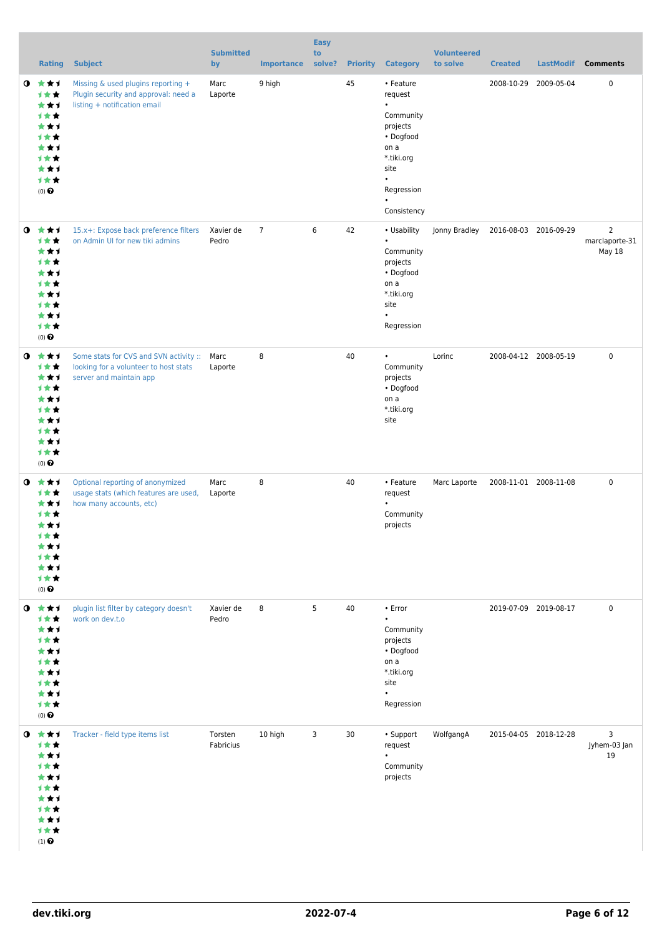|           | <b>Rating</b>                                                                                          | <b>Subject</b>                                                                                                  | <b>Submitted</b><br>by | <b>Importance</b> | <b>Easy</b><br>to<br>solve? |    | <b>Priority Category</b>                                                                                                                                     | <b>Volunteered</b><br>to solve | <b>Created</b> | <b>LastModif</b>      | <b>Comments</b>                            |
|-----------|--------------------------------------------------------------------------------------------------------|-----------------------------------------------------------------------------------------------------------------|------------------------|-------------------|-----------------------------|----|--------------------------------------------------------------------------------------------------------------------------------------------------------------|--------------------------------|----------------|-----------------------|--------------------------------------------|
| $\bullet$ | ***<br>计女女<br>***<br><b>1**</b><br>***<br>1★★<br>***<br>计女女<br>***<br>计女女<br>$(0)$ $\odot$             | Missing & used plugins reporting +<br>Plugin security and approval: need a<br>listing + notification email      | Marc<br>Laporte        | 9 high            |                             | 45 | • Feature<br>request<br>$\bullet$<br>Community<br>projects<br>• Dogfood<br>on a<br>*.tiki.org<br>site<br>$\bullet$<br>Regression<br>$\bullet$<br>Consistency |                                |                | 2008-10-29 2009-05-04 | 0                                          |
| $\bullet$ | ***<br>1★★<br>***<br><b>1**</b><br>***<br><b>1**</b><br>***<br>计女女<br>***<br>计女女<br>$(0)$ $\odot$      | 15.x+: Expose back preference filters<br>on Admin UI for new tiki admins                                        | Xavier de<br>Pedro     | $\overline{7}$    | 6                           | 42 | • Usability<br>$\bullet$<br>Community<br>projects<br>• Dogfood<br>on a<br>*.tiki.org<br>site<br>$\bullet$<br>Regression                                      | Jonny Bradley                  |                | 2016-08-03 2016-09-29 | $\overline{2}$<br>marclaporte-31<br>May 18 |
| $\bullet$ | ***<br>计女女<br>***<br>计女女<br>***<br><b>1**</b><br>***<br>1★★<br>***<br>计女女<br>$(0)$ $\odot$             | Some stats for CVS and SVN activity :: Marc<br>looking for a volunteer to host stats<br>server and maintain app | Laporte                | 8                 |                             | 40 | $\bullet$<br>Community<br>projects<br>• Dogfood<br>on a<br>*.tiki.org<br>site                                                                                | Lorinc                         |                | 2008-04-12 2008-05-19 | $\mathbf 0$                                |
| $\bullet$ | ***<br><b>1**</b><br>***<br><b>1**</b><br>***<br>计女女<br>***<br>1★★<br>***<br>计女女<br>$(0)$ $\odot$      | Optional reporting of anonymized<br>usage stats (which features are used,<br>how many accounts, etc)            | Marc<br>Laporte        | 8                 |                             | 40 | • Feature<br>request<br>$\bullet$<br>Community<br>projects                                                                                                   | Marc Laporte                   |                | 2008-11-01 2008-11-08 | $\mathbf 0$                                |
| $\bullet$ | ***<br><b>1**</b><br>***<br>计女女<br>***<br>计女女<br>***<br>计女女<br>***<br>计女女<br>$(0)$ $\odot$             | plugin list filter by category doesn't<br>work on dev.t.o                                                       | Xavier de<br>Pedro     | 8                 | 5                           | 40 | • Error<br>$\bullet$<br>Community<br>projects<br>• Dogfood<br>on a<br>*.tiki.org<br>site<br>$\bullet$<br>Regression                                          |                                |                | 2019-07-09 2019-08-17 | $\mathbf 0$                                |
|           | $0$ $*$ $*$ $*$<br>计女女<br>***<br>计女女<br>***<br>计女女<br>***<br><b>1**</b><br>***<br>1★★<br>$(1)$ $\odot$ | Tracker - field type items list                                                                                 | Torsten<br>Fabricius   | 10 high           | 3                           | 30 | • Support<br>request<br>$\bullet$<br>Community<br>projects                                                                                                   | WolfgangA                      |                | 2015-04-05 2018-12-28 | 3<br>Jyhem-03 Jan<br>19                    |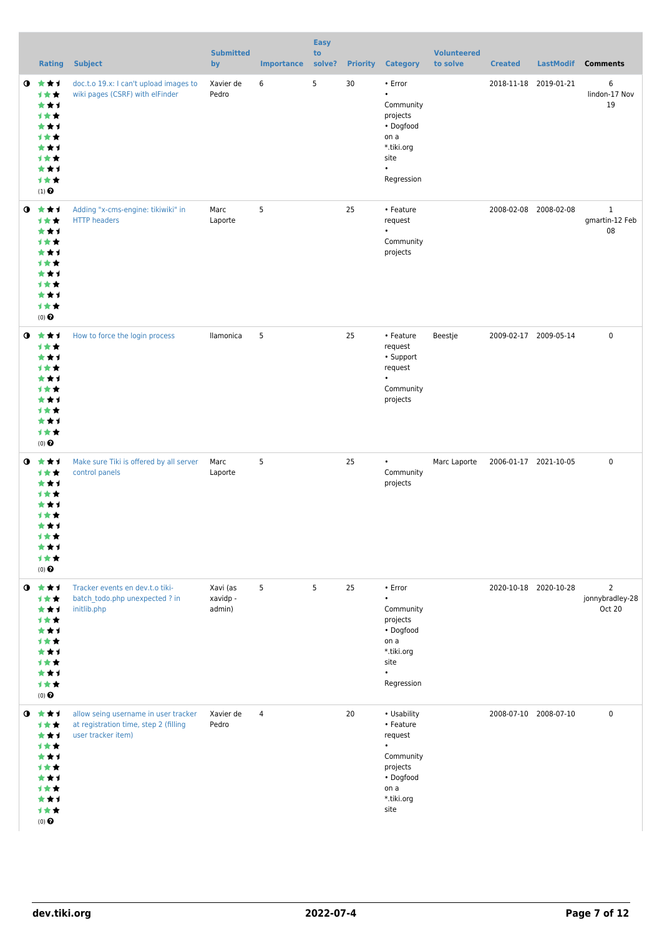|           | Rating                                                                                                    | <b>Subject</b>                                                                                      | <b>Submitted</b><br>by         | <b>Importance</b> | <b>Easy</b><br>to<br>solve? | <b>Priority</b> | <b>Category</b>                                                                                                      | <b>Volunteered</b><br>to solve | <b>Created</b>        | <b>LastModif</b>      | <b>Comments</b>                             |
|-----------|-----------------------------------------------------------------------------------------------------------|-----------------------------------------------------------------------------------------------------|--------------------------------|-------------------|-----------------------------|-----------------|----------------------------------------------------------------------------------------------------------------------|--------------------------------|-----------------------|-----------------------|---------------------------------------------|
| $\bullet$ | 食食す<br>计女女<br>***<br>计女女<br>***<br>计女女<br>***<br>计女女<br>***<br>计女女<br>$(1)$ <sup><math>\odot</math></sup> | doc.t.o 19.x: I can't upload images to<br>wiki pages (CSRF) with elFinder                           | Xavier de<br>Pedro             | 6                 | 5                           | 30              | • Error<br>$\bullet$<br>Community<br>projects<br>• Dogfood<br>on a<br>*.tiki.org<br>site<br>$\bullet$<br>Regression  |                                | 2018-11-18 2019-01-21 |                       | 6<br>lindon-17 Nov<br>19                    |
|           | $0 \star \star \star$<br>1★★<br>***<br>计女女<br>***<br>计女女<br>***<br>计女女<br>***<br>计女女<br>$(0)$ $\odot$     | Adding "x-cms-engine: tikiwiki" in<br><b>HTTP</b> headers                                           | Marc<br>Laporte                | 5                 |                             | 25              | • Feature<br>request<br>$\bullet$<br>Community<br>projects                                                           |                                |                       | 2008-02-08 2008-02-08 | $\mathbf{1}$<br>gmartin-12 Feb<br>08        |
| $\bullet$ | 大大才<br>计女女<br>***<br>计女女<br>***<br>计女女<br>***<br>计女女<br>***<br>计女女<br>$(0)$ <sup>O</sup>                  | How to force the login process                                                                      | llamonica                      | 5                 |                             | 25              | • Feature<br>request<br>• Support<br>request<br>$\bullet$<br>Community<br>projects                                   | Beestje                        |                       | 2009-02-17 2009-05-14 | $\mathbf 0$                                 |
| $\bullet$ | ***<br>计女女<br>***<br><b>1**</b><br>***<br>1 * *<br>***<br>计女女<br>***<br>计女女<br>$(0)$ <sup>O</sup>         | Make sure Tiki is offered by all server<br>control panels                                           | Marc<br>Laporte                | 5                 |                             | 25              | $\bullet$<br>Community<br>projects                                                                                   | Marc Laporte                   | 2006-01-17 2021-10-05 |                       | $\mathbf 0$                                 |
| $\bullet$ | ***<br>计女女<br>***<br>计女女<br>***<br>计女女<br>***<br>计女女<br>***<br>计女女<br>$(0)$ $\odot$                       | Tracker events en dev.t.o tiki-<br>batch todo.php unexpected ? in<br>initlib.php                    | Xavi (as<br>xavidp -<br>admin) | 5                 | 5                           | 25              | • Error<br>$\bullet$<br>Community<br>projects<br>• Dogfood<br>on a<br>*.tiki.org<br>site<br>$\bullet$<br>Regression  |                                |                       | 2020-10-18 2020-10-28 | $\overline{2}$<br>jonnybradley-28<br>Oct 20 |
| $\bullet$ | ***<br>***<br>***<br>计女女<br>***<br>1 * *<br>***<br>1 * *<br>***<br>计女女<br>$(0)$ <sup>O</sup>              | allow seing username in user tracker<br>at registration time, step 2 (filling<br>user tracker item) | Xavier de<br>Pedro             | $\overline{4}$    |                             | 20              | • Usability<br>• Feature<br>request<br>$\bullet$<br>Community<br>projects<br>• Dogfood<br>on a<br>*.tiki.org<br>site |                                |                       | 2008-07-10 2008-07-10 | 0                                           |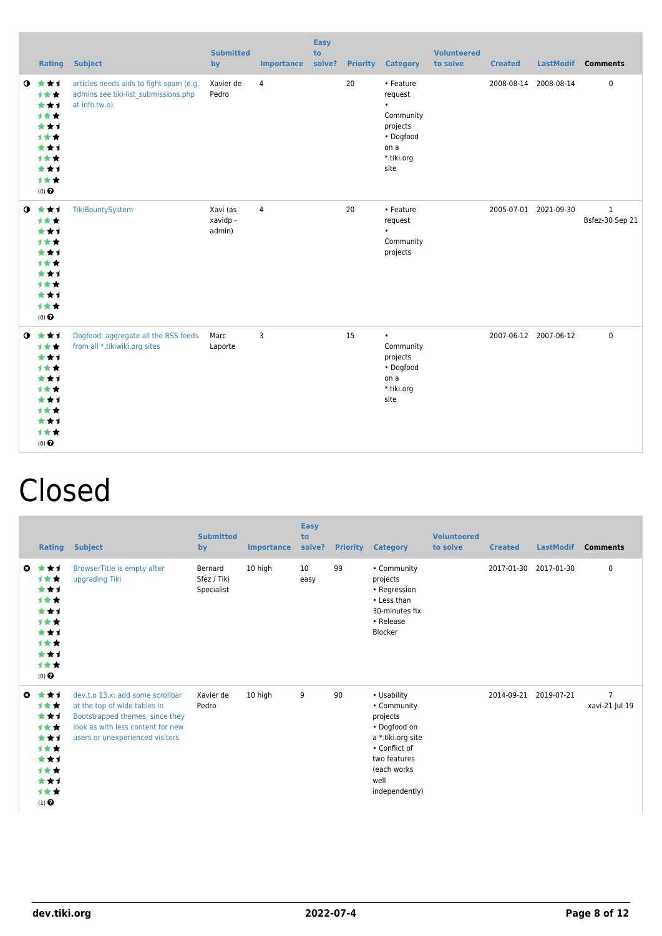|           |                                                                                                       | <b>Rating Subject</b>                                                                            | <b>Submitted</b><br>by         | <b>Importance</b> | <b>Easy</b><br>to<br>solve? |    | <b>Priority Category</b>                                                                              | <b>Volunteered</b><br>to solve | <b>Created</b> |                       | LastModif Comments              |
|-----------|-------------------------------------------------------------------------------------------------------|--------------------------------------------------------------------------------------------------|--------------------------------|-------------------|-----------------------------|----|-------------------------------------------------------------------------------------------------------|--------------------------------|----------------|-----------------------|---------------------------------|
| $\bullet$ | ***<br>1★★<br>***<br>***<br>***<br>1★★<br>***<br>1★★<br>***<br>1★★<br>$(0)$ $\Theta$                  | articles needs aids to fight spam (e.g.<br>admins see tiki-list submissions.php<br>at info.tw.o) | Xavier de<br>Pedro             | $\overline{4}$    |                             | 20 | • Feature<br>request<br>$\bullet$<br>Community<br>projects<br>• Dogfood<br>on a<br>*.tiki.org<br>site |                                |                | 2008-08-14 2008-08-14 | $\pmb{0}$                       |
|           | $0$ $\star\star\star$<br>1★★<br>***<br>1★★<br>***<br>1★★<br>***<br>1★★<br>***<br>1★★<br>$(0)$ $\odot$ | TikiBountySystem                                                                                 | Xavi (as<br>xavidp -<br>admin) | $\overline{4}$    |                             | 20 | • Feature<br>request<br>Community<br>projects                                                         |                                |                | 2005-07-01 2021-09-30 | $\mathbf{1}$<br>Bsfez-30 Sep 21 |
|           | $0 \star \star \star$<br>1★★<br>***<br>1★★<br>***<br>1★★<br>***<br>***<br>***<br>1★★<br>$(0)$ $\odot$ | Dogfood: aggregate all the RSS feeds<br>from all *.tikiwiki.org sites                            | Marc<br>Laporte                | 3                 |                             | 15 | $\bullet$<br>Community<br>projects<br>• Dogfood<br>on a<br>*.tiki.org<br>site                         |                                |                | 2007-06-12 2007-06-12 | $\mathbf 0$                     |

## Closed

|    | <b>Rating</b>                                                                       | <b>Subject</b>                                                                                                                                                              | <b>Submitted</b><br>by               | <b>Importance</b> | <b>Easy</b><br>to<br>solve? | <b>Priority</b> | <b>Category</b>                                                                                                                                       | <b>Volunteered</b><br>to solve | <b>Created</b> | <b>LastModif</b> | <b>Comments</b>                  |
|----|-------------------------------------------------------------------------------------|-----------------------------------------------------------------------------------------------------------------------------------------------------------------------------|--------------------------------------|-------------------|-----------------------------|-----------------|-------------------------------------------------------------------------------------------------------------------------------------------------------|--------------------------------|----------------|------------------|----------------------------------|
| o. | ***<br>计女女<br>***<br>***<br>***<br>***<br>***<br>***<br>***<br>计女女<br>$(0)$ $\odot$ | BrowserTitle is empty after<br>upgrading Tiki                                                                                                                               | Bernard<br>Sfez / Tiki<br>Specialist | 10 high           | 10<br>easy                  | 99              | • Community<br>projects<br>• Regression<br>• Less than<br>30-minutes fix<br>• Release<br>Blocker                                                      |                                | 2017-01-30     | 2017-01-30       | 0                                |
| O  | ***<br>***<br>***<br>***<br>***<br>计女女<br>***<br>***<br>***<br>计女女<br>$(1)$ $\odot$ | dev.t.o 13.x: add some scrollbar<br>at the top of wide tables in<br>Bootstrapped themes, since they<br>look as with less content for new<br>users or unexperienced visitors | Xavier de<br>Pedro                   | 10 high           | 9                           | 90              | • Usability<br>• Community<br>projects<br>• Dogfood on<br>a *.tiki.org site<br>• Conflict of<br>two features<br>(each works<br>well<br>independently) |                                | 2014-09-21     | 2019-07-21       | $\overline{7}$<br>xavi-21 Jul 19 |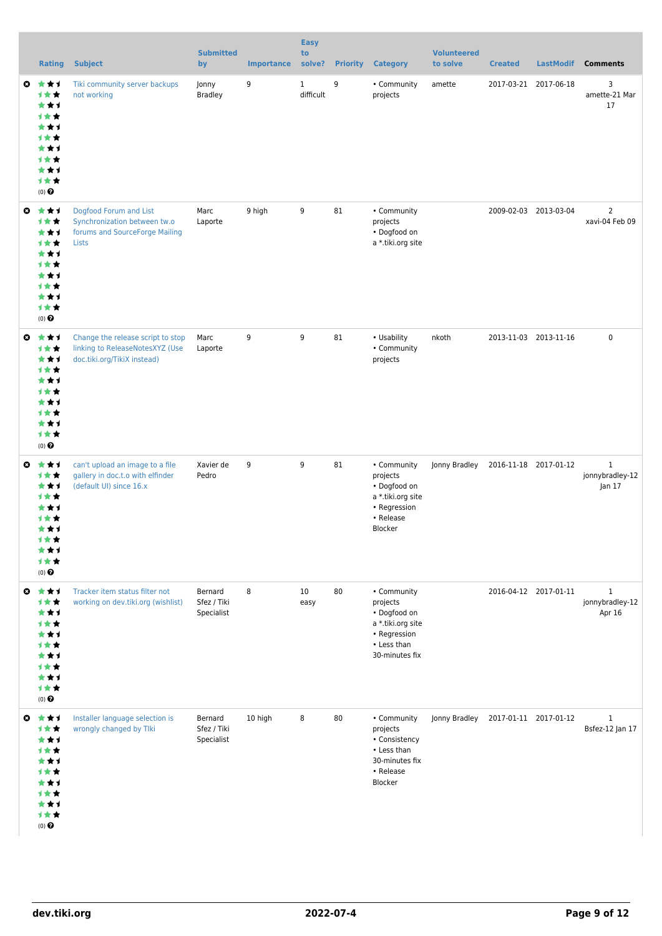|                       | <b>Rating</b>                                                                                       | <b>Subject</b>                                                                                      | <b>Submitted</b><br>by               | <b>Importance</b> | <b>Easy</b><br>to<br>solve? |    | <b>Priority Category</b>                                                                                      | <b>Volunteered</b><br>to solve      | <b>Created</b> | <b>LastModif</b>      | <b>Comments</b>                           |
|-----------------------|-----------------------------------------------------------------------------------------------------|-----------------------------------------------------------------------------------------------------|--------------------------------------|-------------------|-----------------------------|----|---------------------------------------------------------------------------------------------------------------|-------------------------------------|----------------|-----------------------|-------------------------------------------|
| ◒                     | ***<br>计女女<br>***<br>计女女<br>***<br>计女女<br>***<br>1★★<br>***<br>计女女<br>$(0)$ $\Theta$                | Tiki community server backups<br>not working                                                        | Jonny<br><b>Bradley</b>              | 9                 | $\mathbf{1}$<br>difficult   | 9  | • Community<br>projects                                                                                       | amette                              |                | 2017-03-21 2017-06-18 | 3<br>amette-21 Mar<br>17                  |
| ◒                     | ***<br>计女女<br>***<br>计女女<br>***<br>计女女<br>***<br>1★★<br>***<br>计女女<br>(0)                           | Dogfood Forum and List<br>Synchronization between tw.o<br>forums and SourceForge Mailing<br>Lists   | Marc<br>Laporte                      | 9 high            | 9                           | 81 | • Community<br>projects<br>• Dogfood on<br>a *.tiki.org site                                                  |                                     |                | 2009-02-03 2013-03-04 | $\overline{2}$<br>xavi-04 Feb 09          |
| ◒                     | ***<br>***<br>***<br>计女女<br>***<br><b>1★★</b><br>***<br>1★★<br>***<br>计女女<br>$(0)$ $\odot$          | Change the release script to stop<br>linking to ReleaseNotesXYZ (Use<br>doc.tiki.org/TikiX instead) | Marc<br>Laporte                      | 9                 | 9                           | 81 | • Usability<br>• Community<br>projects                                                                        | nkoth                               |                | 2013-11-03 2013-11-16 | $\pmb{0}$                                 |
| ◶                     | ***<br>计女女<br>***<br>计女女<br>***<br>计女女<br>***<br>计女女<br>★★1<br>1★★<br>$(0)$ $\odot$                 | can't upload an image to a file<br>gallery in doc.t.o with elfinder<br>(default UI) since 16.x      | Xavier de<br>Pedro                   | 9                 | 9                           | 81 | • Community<br>projects<br>• Dogfood on<br>a *.tiki.org site<br>• Regression<br>• Release<br>Blocker          | Jonny Bradley                       |                | 2016-11-18 2017-01-12 | $\mathbf{1}$<br>jonnybradley-12<br>Jan 17 |
| $\boldsymbol{\omega}$ | ***<br>计女女<br>***<br>计女女<br>***<br>计女女<br>***<br>计女女<br>***<br>计女女<br>(0)                           | Tracker item status filter not<br>working on dev.tiki.org (wishlist)                                | Bernard<br>Sfez / Tiki<br>Specialist | 8                 | 10<br>easy                  | 80 | • Community<br>projects<br>• Dogfood on<br>a *.tiki.org site<br>• Regression<br>• Less than<br>30-minutes fix |                                     |                | 2016-04-12 2017-01-11 | $\mathbf{1}$<br>jonnybradley-12<br>Apr 16 |
|                       | ◎ ★★1<br>计女女<br>***<br>计女女<br>***<br><b>1★★</b><br>***<br><b>1★★</b><br>***<br>计女女<br>$(0)$ $\odot$ | Installer language selection is<br>wrongly changed by Tlki                                          | Bernard<br>Sfez / Tiki<br>Specialist | 10 high           | 8                           | 80 | • Community<br>projects<br>• Consistency<br>• Less than<br>30-minutes fix<br>• Release<br>Blocker             | Jonny Bradley 2017-01-11 2017-01-12 |                |                       | $\mathbf{1}$<br>Bsfez-12 Jan 17           |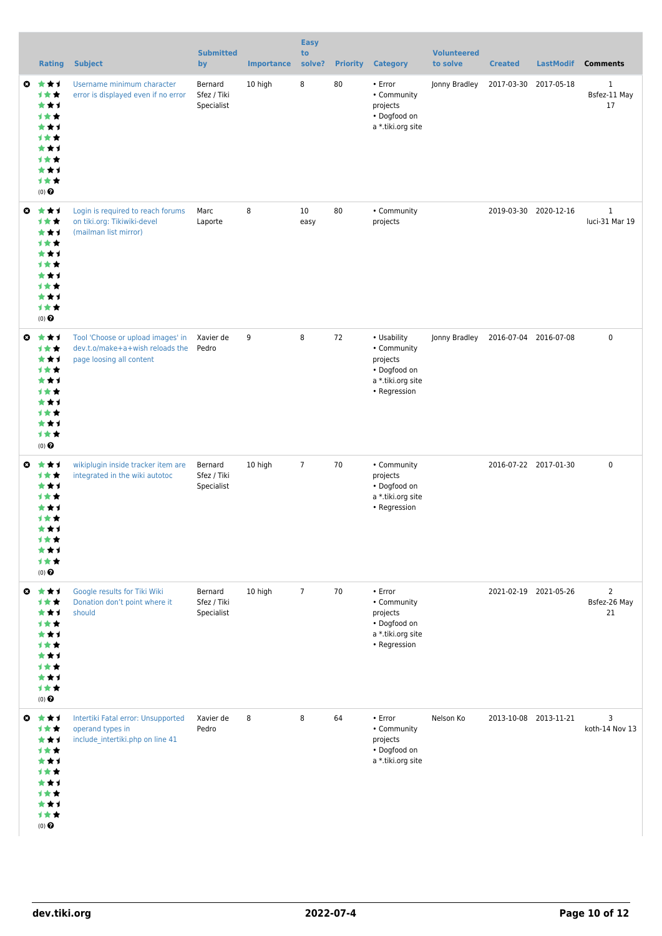|                       | <b>Rating</b>                                                                                     | <b>Subject</b>                                                                                   | <b>Submitted</b><br>by               | <b>Importance</b> | <b>Easy</b><br>to<br>solve? | <b>Priority</b> | <b>Category</b>                                                                               | <b>Volunteered</b><br>to solve | <b>Created</b>        | <b>LastModif</b>      | <b>Comments</b>                      |
|-----------------------|---------------------------------------------------------------------------------------------------|--------------------------------------------------------------------------------------------------|--------------------------------------|-------------------|-----------------------------|-----------------|-----------------------------------------------------------------------------------------------|--------------------------------|-----------------------|-----------------------|--------------------------------------|
| o.                    | ***<br>计女女<br>***<br>计女女<br>***<br>1★★<br>***<br>计女女<br>***<br>计女女<br>(0)                         | Username minimum character<br>error is displayed even if no error                                | Bernard<br>Sfez / Tiki<br>Specialist | 10 high           | 8                           | 80              | • Error<br>• Community<br>projects<br>• Dogfood on<br>a *.tiki.org site                       | Jonny Bradley                  | 2017-03-30            | 2017-05-18            | $\mathbf{1}$<br>Bsfez-11 May<br>17   |
| $\boldsymbol{\omega}$ | ***<br>***<br>***<br>计女女<br>***<br>计女女<br>***<br>计女女<br>***<br>计女女<br>(0)                         | Login is required to reach forums<br>on tiki.org: Tikiwiki-devel<br>(mailman list mirror)        | Marc<br>Laporte                      | 8                 | 10<br>easy                  | 80              | • Community<br>projects                                                                       |                                |                       | 2019-03-30 2020-12-16 | $\mathbf{1}$<br>luci-31 Mar 19       |
| $\boldsymbol{\omega}$ | ***<br>计女女<br>***<br>计女女<br>***<br><b>1★★</b><br>***<br><b>1★★</b><br>***<br>计女女<br>(0)           | Tool 'Choose or upload images' in<br>dev.t.o/make+a+wish reloads the<br>page loosing all content | Xavier de<br>Pedro                   | 9                 | 8                           | 72              | • Usability<br>• Community<br>projects<br>• Dogfood on<br>a *.tiki.org site<br>• Regression   | Jonny Bradley                  | 2016-07-04 2016-07-08 |                       | $\mathbf 0$                          |
| ◶                     | ***<br>计女女<br>***<br>计女女<br>***<br>计女女<br>***<br>计女女<br>***<br>计女女<br>$(0)$ $\pmb{\Theta}$        | wikiplugin inside tracker item are<br>integrated in the wiki autotoc                             | Bernard<br>Sfez / Tiki<br>Specialist | 10 high           | $\overline{7}$              | 70              | • Community<br>projects<br>• Dogfood on<br>a *.tiki.org site<br>• Regression                  |                                |                       | 2016-07-22 2017-01-30 | $\mathbf 0$                          |
| $\boldsymbol{\omega}$ | ***<br>计女女<br>***<br><b>1★★</b><br>***<br><b>1★★</b><br>***<br>计女女<br>***<br>计女女<br>$(0)$ $\odot$ | Google results for Tiki Wiki<br>Donation don't point where it<br>should                          | Bernard<br>Sfez / Tiki<br>Specialist | 10 high           | $\overline{7}$              | 70              | $\cdot$ Error<br>• Community<br>projects<br>• Dogfood on<br>a *.tiki.org site<br>• Regression |                                | 2021-02-19 2021-05-26 |                       | $\overline{2}$<br>Bsfez-26 May<br>21 |
|                       | ◎ ★★1<br>计女女<br>***<br>计女女<br>***<br>计女女<br>***<br>计女女<br>***<br>计女女<br>$(0)$ $\odot$             | Intertiki Fatal error: Unsupported<br>operand types in<br>include_intertiki.php on line 41       | Xavier de<br>Pedro                   | 8                 | 8                           | 64              | • Error<br>• Community<br>projects<br>• Dogfood on<br>a *.tiki.org site                       | Nelson Ko                      |                       | 2013-10-08 2013-11-21 | 3<br>koth-14 Nov 13                  |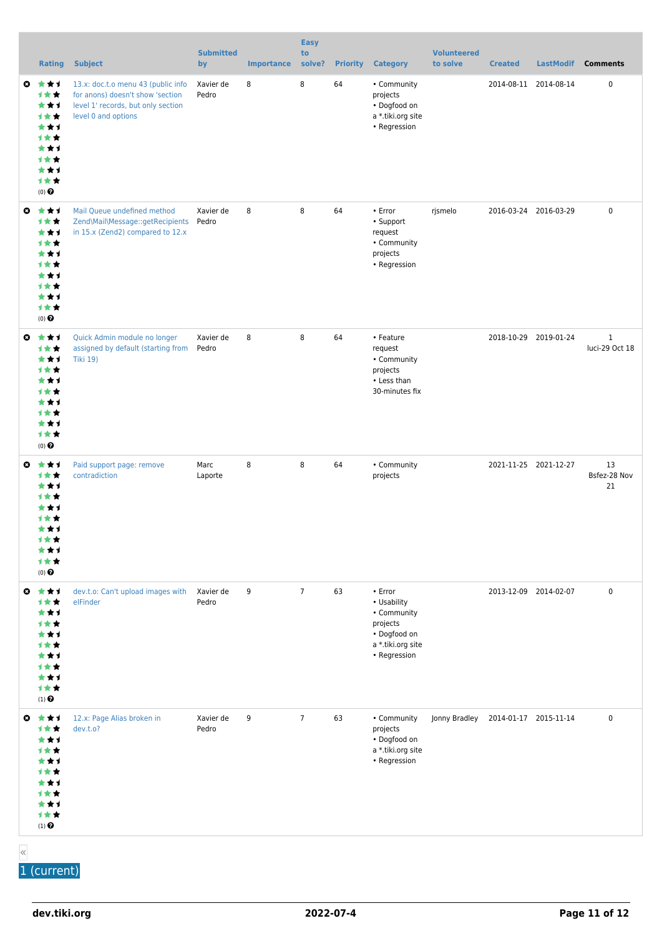|                       | <b>Rating</b>                                                                                             | <b>Subject</b>                                                                                                                      | <b>Submitted</b><br>by | <b>Importance</b> | <b>Easy</b><br>to<br>solve? | <b>Priority</b> | <b>Category</b>                                                                                        | <b>Volunteered</b><br>to solve | <b>Created</b>        | <b>LastModif</b> | <b>Comments</b>                |
|-----------------------|-----------------------------------------------------------------------------------------------------------|-------------------------------------------------------------------------------------------------------------------------------------|------------------------|-------------------|-----------------------------|-----------------|--------------------------------------------------------------------------------------------------------|--------------------------------|-----------------------|------------------|--------------------------------|
| ◒                     | ***<br>计女女<br>***<br>计女女<br>***<br>计女女<br>***<br>1★★<br>***<br>计女女<br>$(0)$ $\Theta$                      | 13.x: doc.t.o menu 43 (public info<br>for anons) doesn't show 'section<br>level 1' records, but only section<br>level 0 and options | Xavier de<br>Pedro     | 8                 | 8                           | 64              | • Community<br>projects<br>• Dogfood on<br>a *.tiki.org site<br>• Regression                           |                                | 2014-08-11 2014-08-14 |                  | 0                              |
| ◒                     | ***<br>***<br>***<br>计女女<br>***<br>计女女<br>***<br>1★★<br>***<br>计女女<br>(0)                                 | Mail Queue undefined method<br>Zend\Mail\Message::getRecipients<br>in 15.x (Zend2) compared to 12.x                                 | Xavier de<br>Pedro     | 8                 | 8                           | 64              | • Error<br>• Support<br>request<br>• Community<br>projects<br>• Regression                             | rjsmelo                        | 2016-03-24 2016-03-29 |                  | $\pmb{0}$                      |
| ◒                     | ***<br>1★★<br>***<br>计女女<br>***<br><b>1★★</b><br>***<br>1★★<br>***<br>计女女<br>$(0)$ $\Theta$               | Quick Admin module no longer<br>assigned by default (starting from<br><b>Tiki 19)</b>                                               | Xavier de<br>Pedro     | 8                 | 8                           | 64              | • Feature<br>request<br>• Community<br>projects<br>• Less than<br>30-minutes fix                       |                                | 2018-10-29 2019-01-24 |                  | $\mathbf{1}$<br>luci-29 Oct 18 |
| o.                    | ***<br>计女女<br>***<br><b>1★★</b><br>***<br>计女女<br>***<br>计女女<br>***<br>1★★<br>$(0)$ $\Theta$               | Paid support page: remove<br>contradiction                                                                                          | Marc<br>Laporte        | 8                 | 8                           | 64              | • Community<br>projects                                                                                |                                | 2021-11-25 2021-12-27 |                  | 13<br>Bsfez-28 Nov<br>21       |
| $\boldsymbol{\omega}$ | ***<br>***<br>***<br>计女女<br>***<br>计女女<br>***<br>计女女<br>***<br>计女女<br>$(1)$ <sup><math>\odot</math></sup> | dev.t.o: Can't upload images with<br>elFinder                                                                                       | Xavier de<br>Pedro     | 9                 | $\overline{7}$              | 63              | • Error<br>• Usability<br>• Community<br>projects<br>• Dogfood on<br>a *.tiki.org site<br>• Regression |                                | 2013-12-09 2014-02-07 |                  | $\pmb{0}$                      |
|                       | ◎ ★★1<br>计女女<br>***<br>计女女<br>***<br><b>1★★</b><br>***<br>计女女<br>***<br>计女女<br>$(1)$ $\odot$              | 12.x: Page Alias broken in<br>dev.t.o?                                                                                              | Xavier de<br>Pedro     | 9                 | $\overline{7}$              | 63              | • Community<br>projects<br>• Dogfood on<br>a *.tiki.org site<br>• Regression                           | Jonny Bradley                  | 2014-01-17 2015-11-14 |                  | 0                              |

«

1 (current)